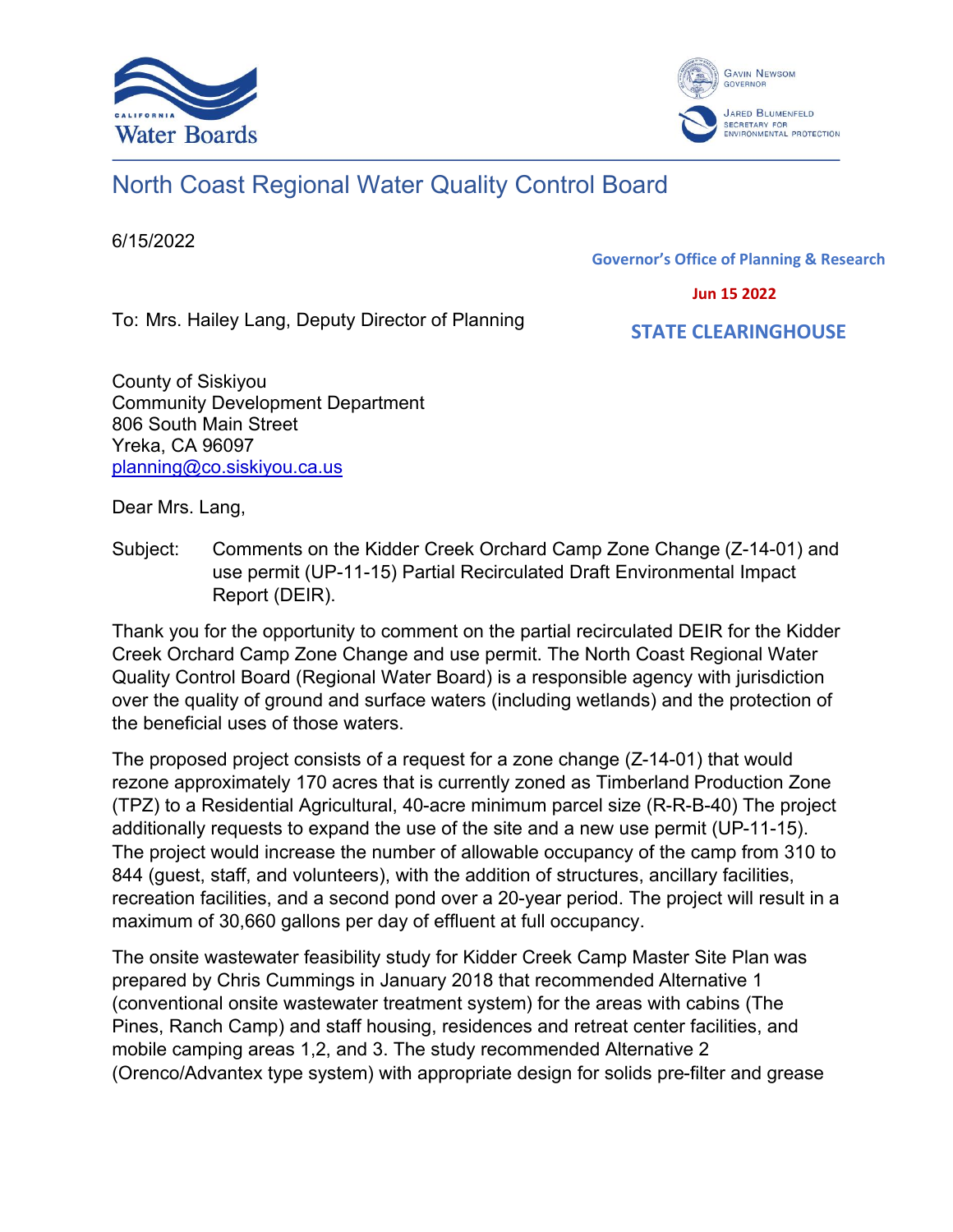



# North Coast Regional Water Quality Control Board

6/15/2022

**Governor's Office of Planning & Research**

 **Jun 15 2022**

To: Mrs. Hailey Lang, Deputy Director of Planning

 **STATE CLEARINGHOUSE**

County of Siskiyou Community Development Department 806 South Main Street Yreka, CA 96097 [planning@co.siskiyou.ca.us](mailto:planning@co.siskiyou.ca.us)

Dear Mrs. Lang,

Subject: Comments on the Kidder Creek Orchard Camp Zone Change (Z-14-01) and use permit (UP-11-15) Partial Recirculated Draft Environmental Impact Report (DEIR).

Thank you for the opportunity to comment on the partial recirculated DEIR for the Kidder Creek Orchard Camp Zone Change and use permit. The North Coast Regional Water Quality Control Board (Regional Water Board) is a responsible agency with jurisdiction over the quality of ground and surface waters (including wetlands) and the protection of the beneficial uses of those waters.

The proposed project consists of a request for a zone change (Z-14-01) that would rezone approximately 170 acres that is currently zoned as Timberland Production Zone (TPZ) to a Residential Agricultural, 40-acre minimum parcel size (R-R-B-40) The project additionally requests to expand the use of the site and a new use permit (UP-11-15). The project would increase the number of allowable occupancy of the camp from 310 to 844 (guest, staff, and volunteers), with the addition of structures, ancillary facilities, recreation facilities, and a second pond over a 20-year period. The project will result in a maximum of 30,660 gallons per day of effluent at full occupancy.

The onsite wastewater feasibility study for Kidder Creek Camp Master Site Plan was prepared by Chris Cummings in January 2018 that recommended Alternative 1 (conventional onsite wastewater treatment system) for the areas with cabins (The Pines, Ranch Camp) and staff housing, residences and retreat center facilities, and mobile camping areas 1,2, and 3. The study recommended Alternative 2 (Orenco/Advantex type system) with appropriate design for solids pre-filter and grease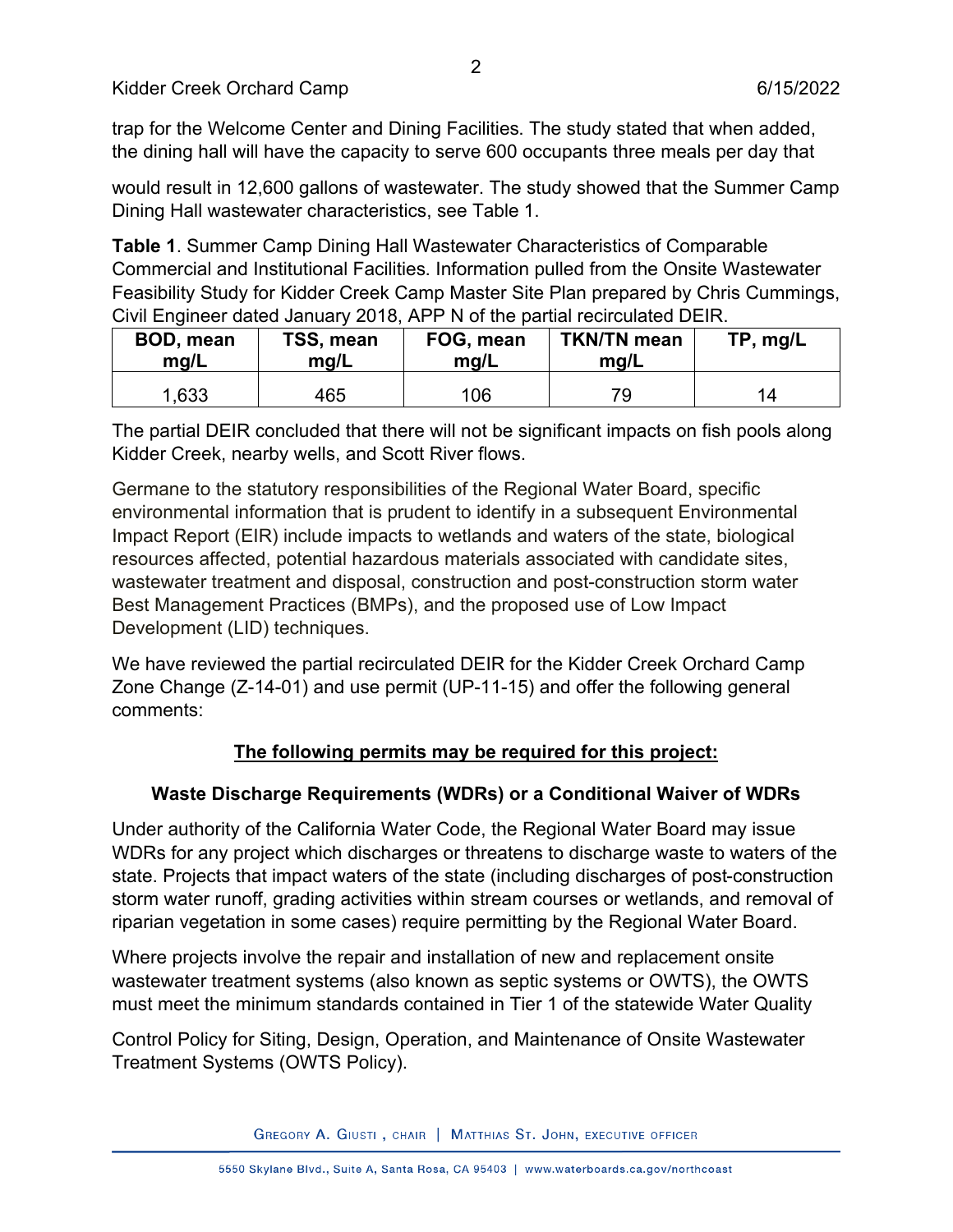trap for the Welcome Center and Dining Facilities. The study stated that when added, the dining hall will have the capacity to serve 600 occupants three meals per day that

would result in 12,600 gallons of wastewater. The study showed that the Summer Camp Dining Hall wastewater characteristics, see Table 1.

**Table 1**. Summer Camp Dining Hall Wastewater Characteristics of Comparable Commercial and Institutional Facilities. Information pulled from the Onsite Wastewater Feasibility Study for Kidder Creek Camp Master Site Plan prepared by Chris Cummings, Civil Engineer dated January 2018, APP N of the partial recirculated DEIR.

| <b>BOD, mean</b> | TSS, mean | FOG, mean | <b>TKN/TN mean</b> | TP, mg/L |
|------------------|-----------|-----------|--------------------|----------|
| mq/L             | mq/L      | mg/L      | mq/L               |          |
| 1,633            | 465       | 106       |                    |          |

The partial DEIR concluded that there will not be significant impacts on fish pools along Kidder Creek, nearby wells, and Scott River flows.

Germane to the statutory responsibilities of the Regional Water Board, specific environmental information that is prudent to identify in a subsequent Environmental Impact Report (EIR) include impacts to wetlands and waters of the state, biological resources affected, potential hazardous materials associated with candidate sites, wastewater treatment and disposal, construction and post-construction storm water Best Management Practices (BMPs), and the proposed use of Low Impact Development (LID) techniques.

We have reviewed the partial recirculated DEIR for the Kidder Creek Orchard Camp Zone Change (Z-14-01) and use permit (UP-11-15) and offer the following general comments:

## **The following permits may be required for this project:**

## **Waste Discharge Requirements (WDRs) or a Conditional Waiver of WDRs**

Under authority of the California Water Code, the Regional Water Board may issue WDRs for any project which discharges or threatens to discharge waste to waters of the state. Projects that impact waters of the state (including discharges of post-construction storm water runoff, grading activities within stream courses or wetlands, and removal of riparian vegetation in some cases) require permitting by the Regional Water Board.

Where projects involve the repair and installation of new and replacement onsite wastewater treatment systems (also known as septic systems or OWTS), the OWTS must meet the minimum standards contained in Tier 1 of the statewide Water Quality

Control Policy for Siting, Design, Operation, and Maintenance of Onsite Wastewater Treatment Systems (OWTS Policy).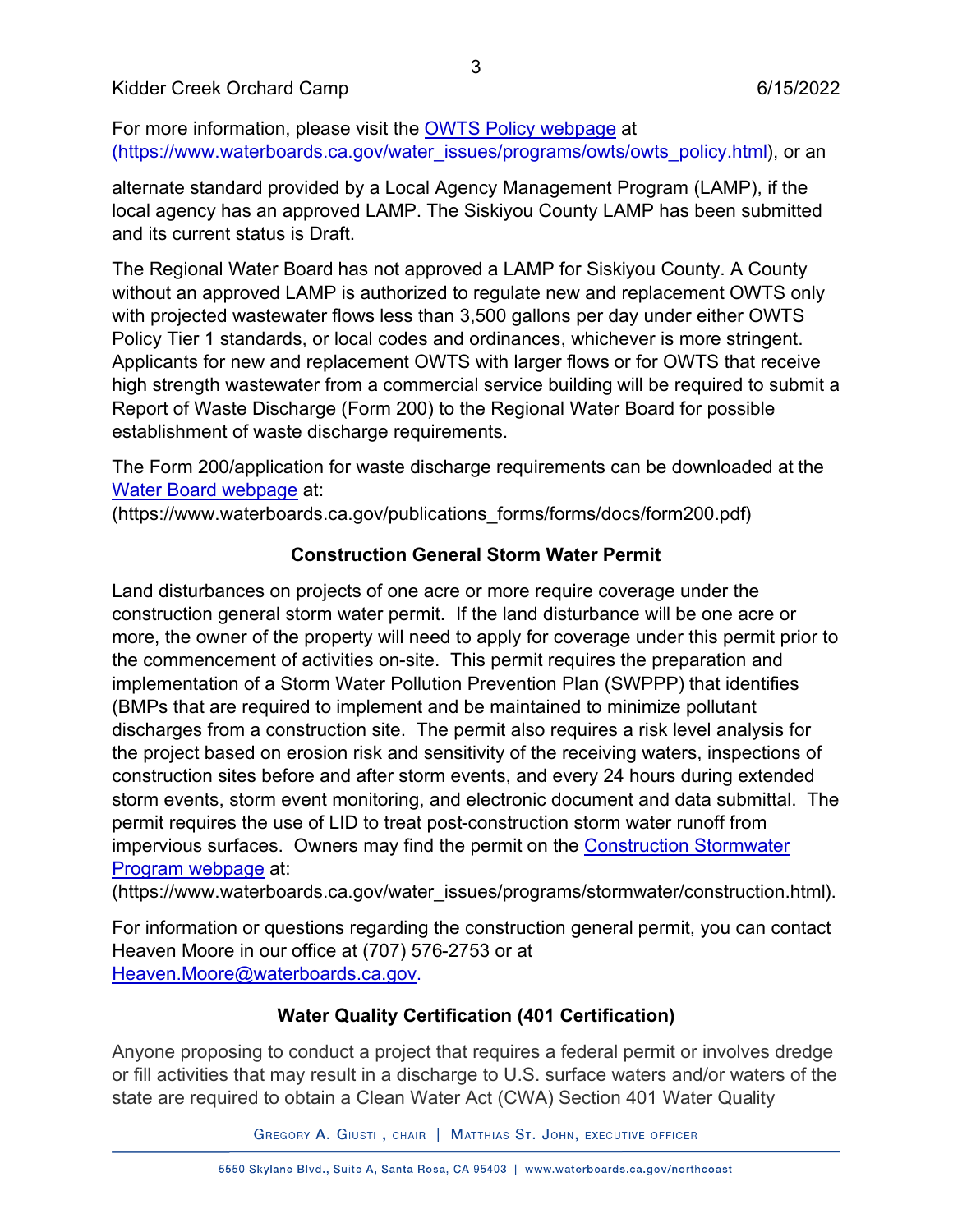#### Kidder Creek Orchard Camp 6/15/2022

For more information, please visit the [OWTS Policy webpage](https://www.waterboards.ca.gov/water_issues/programs/owts/owts_policy.html) at (https://www.waterboards.ca.gov/water\_issues/programs/owts/owts\_policy.html), or an

alternate standard provided by a Local Agency Management Program (LAMP), if the local agency has an approved LAMP. The Siskiyou County LAMP has been submitted and its current status is Draft.

The Regional Water Board has not approved a LAMP for Siskiyou County. A County without an approved LAMP is authorized to regulate new and replacement OWTS only with projected wastewater flows less than 3,500 gallons per day under either OWTS Policy Tier 1 standards, or local codes and ordinances, whichever is more stringent. Applicants for new and replacement OWTS with larger flows or for OWTS that receive high strength wastewater from a commercial service building will be required to submit a Report of Waste Discharge (Form 200) to the Regional Water Board for possible establishment of waste discharge requirements.

The Form 200/application for waste discharge requirements can be downloaded at the [Water Board webpage](https://www.waterboards.ca.gov/publications_forms/forms/docs/form200.pdf) at:

(https://www.waterboards.ca.gov/publications\_forms/forms/docs/form200.pdf)

#### **Construction General Storm Water Permit**

Land disturbances on projects of one acre or more require coverage under the construction general storm water permit. If the land disturbance will be one acre or more, the owner of the property will need to apply for coverage under this permit prior to the commencement of activities on-site. This permit requires the preparation and implementation of a Storm Water Pollution Prevention Plan (SWPPP) that identifies (BMPs that are required to implement and be maintained to minimize pollutant discharges from a construction site. The permit also requires a risk level analysis for the project based on erosion risk and sensitivity of the receiving waters, inspections of construction sites before and after storm events, and every 24 hours during extended storm events, storm event monitoring, and electronic document and data submittal. The permit requires the use of LID to treat post-construction storm water runoff from impervious surfaces. Owners may find the permit on the [Construction Stormwater](https://www.waterboards.ca.gov/water_issues/programs/stormwater/construction.html)  Program [webpage](https://www.waterboards.ca.gov/water_issues/programs/stormwater/construction.html) at:

(https://www.waterboards.ca.gov/water\_issues/programs/stormwater/construction.html).

For information or questions regarding the construction general permit, you can contact Heaven Moore in our office at (707) 576-2753 or at [Heaven.Moore@waterboards.ca.gov.](mailto:Heaven.Moore@waterboards.ca.gov)

## **Water Quality Certification (401 Certification)**

Anyone proposing to conduct a project that requires a federal permit or involves dredge or fill activities that may result in a discharge to U.S. surface waters and/or waters of the state are required to obtain a Clean Water Act (CWA) Section 401 Water Quality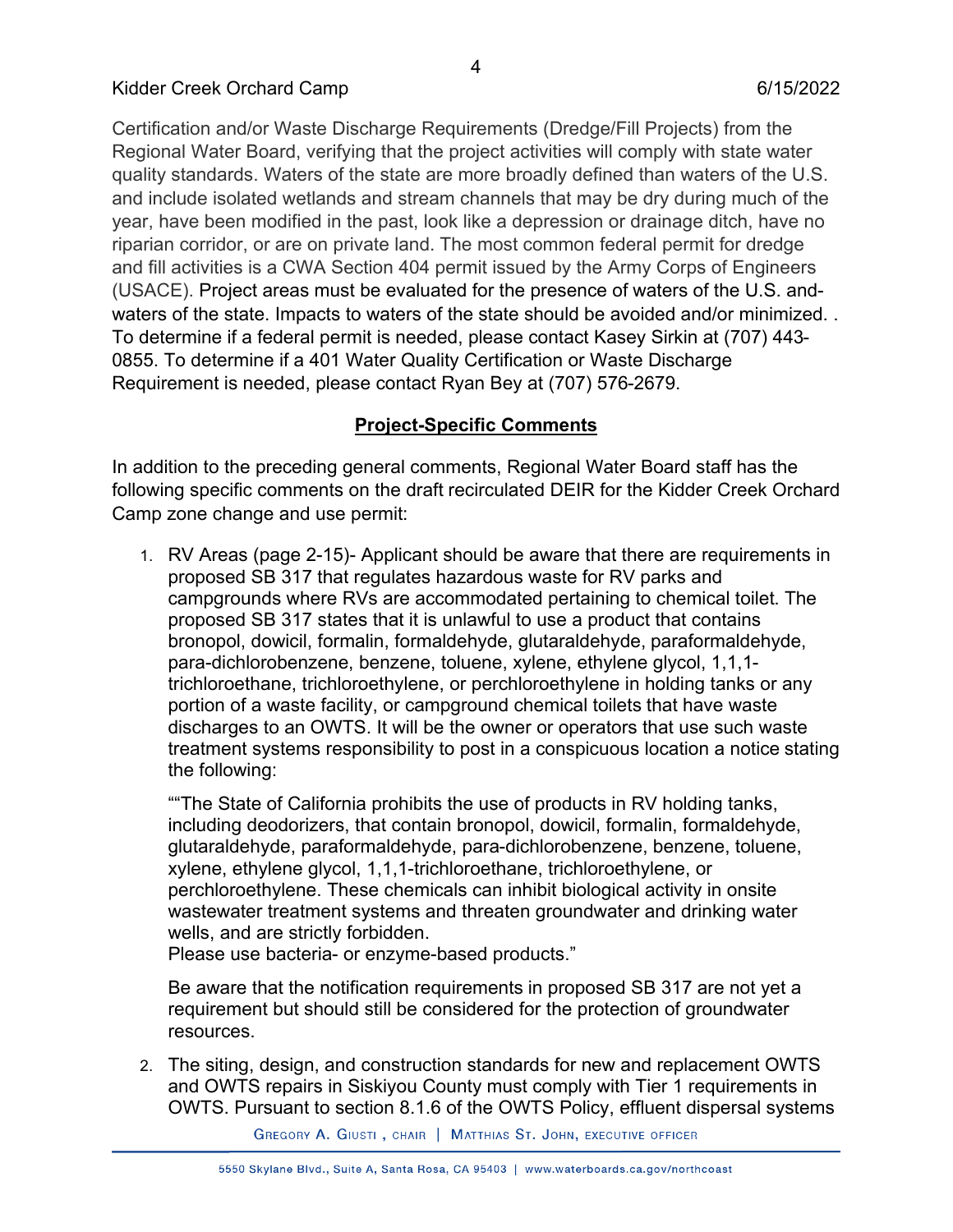Certification and/or Waste Discharge Requirements (Dredge/Fill Projects) from the Regional Water Board, verifying that the project activities will comply with state water quality standards. Waters of the state are more broadly defined than waters of the U.S. and include isolated wetlands and stream channels that may be dry during much of the year, have been modified in the past, look like a depression or drainage ditch, have no riparian corridor, or are on private land. The most common federal permit for dredge and fill activities is a CWA Section 404 permit issued by the Army Corps of Engineers (USACE). Project areas must be evaluated for the presence of waters of the U.S. andwaters of the state. Impacts to waters of the state should be avoided and/or minimized. . To determine if a federal permit is needed, please contact Kasey Sirkin at (707) 443- 0855. To determine if a 401 Water Quality Certification or Waste Discharge Requirement is needed, please contact Ryan Bey at (707) 576-2679.

## **Project-Specific Comments**

In addition to the preceding general comments, Regional Water Board staff has the following specific comments on the draft recirculated DEIR for the Kidder Creek Orchard Camp zone change and use permit:

1. RV Areas (page 2-15)- Applicant should be aware that there are requirements in proposed SB 317 that regulates hazardous waste for RV parks and campgrounds where RVs are accommodated pertaining to chemical toilet. The proposed SB 317 states that it is unlawful to use a product that contains bronopol, dowicil, formalin, formaldehyde, glutaraldehyde, paraformaldehyde, para-dichlorobenzene, benzene, toluene, xylene, ethylene glycol, 1,1,1 trichloroethane, trichloroethylene, or perchloroethylene in holding tanks or any portion of a waste facility, or campground chemical toilets that have waste discharges to an OWTS. It will be the owner or operators that use such waste treatment systems responsibility to post in a conspicuous location a notice stating the following:

""The State of California prohibits the use of products in RV holding tanks, including deodorizers, that contain bronopol, dowicil, formalin, formaldehyde, glutaraldehyde, paraformaldehyde, para-dichlorobenzene, benzene, toluene, xylene, ethylene glycol, 1,1,1-trichloroethane, trichloroethylene, or perchloroethylene. These chemicals can inhibit biological activity in onsite wastewater treatment systems and threaten groundwater and drinking water wells, and are strictly forbidden.

Please use bacteria- or enzyme-based products."

Be aware that the notification requirements in proposed SB 317 are not yet a requirement but should still be considered for the protection of groundwater resources.

2. The siting, design, and construction standards for new and replacement OWTS and OWTS repairs in Siskiyou County must comply with Tier 1 requirements in OWTS. Pursuant to section 8.1.6 of the OWTS Policy, effluent dispersal systems